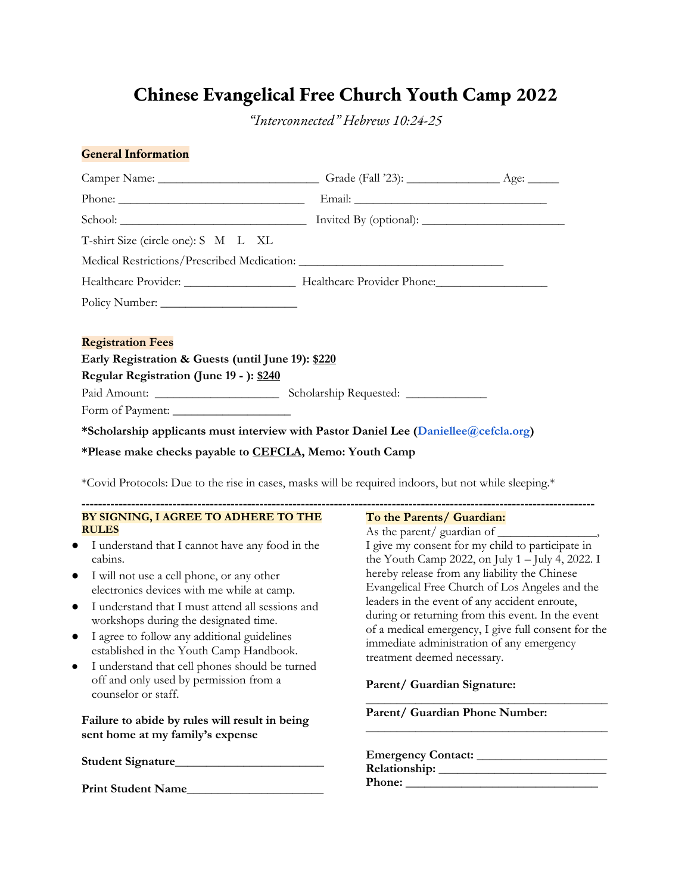## **Chinese Evangelical Free Church Youth Camp 2022**

*"Interconnected" Hebrews 10:24-25*

#### **General Information**

| T-shirt Size (circle one): S M L XL                                                                                                                                                                                                                                                                                                                                                                                                                                                                                                                                                                                                                            |                                                                                                                                                                                                                                                                                                                                                                                                                                                                                                                |
|----------------------------------------------------------------------------------------------------------------------------------------------------------------------------------------------------------------------------------------------------------------------------------------------------------------------------------------------------------------------------------------------------------------------------------------------------------------------------------------------------------------------------------------------------------------------------------------------------------------------------------------------------------------|----------------------------------------------------------------------------------------------------------------------------------------------------------------------------------------------------------------------------------------------------------------------------------------------------------------------------------------------------------------------------------------------------------------------------------------------------------------------------------------------------------------|
|                                                                                                                                                                                                                                                                                                                                                                                                                                                                                                                                                                                                                                                                |                                                                                                                                                                                                                                                                                                                                                                                                                                                                                                                |
|                                                                                                                                                                                                                                                                                                                                                                                                                                                                                                                                                                                                                                                                |                                                                                                                                                                                                                                                                                                                                                                                                                                                                                                                |
|                                                                                                                                                                                                                                                                                                                                                                                                                                                                                                                                                                                                                                                                |                                                                                                                                                                                                                                                                                                                                                                                                                                                                                                                |
| <b>Registration Fees</b>                                                                                                                                                                                                                                                                                                                                                                                                                                                                                                                                                                                                                                       |                                                                                                                                                                                                                                                                                                                                                                                                                                                                                                                |
| Early Registration & Guests (until June 19): \$220                                                                                                                                                                                                                                                                                                                                                                                                                                                                                                                                                                                                             |                                                                                                                                                                                                                                                                                                                                                                                                                                                                                                                |
| Regular Registration (June 19 - ): \$240                                                                                                                                                                                                                                                                                                                                                                                                                                                                                                                                                                                                                       |                                                                                                                                                                                                                                                                                                                                                                                                                                                                                                                |
|                                                                                                                                                                                                                                                                                                                                                                                                                                                                                                                                                                                                                                                                |                                                                                                                                                                                                                                                                                                                                                                                                                                                                                                                |
| Form of Payment:                                                                                                                                                                                                                                                                                                                                                                                                                                                                                                                                                                                                                                               |                                                                                                                                                                                                                                                                                                                                                                                                                                                                                                                |
| *Scholarship applicants must interview with Pastor Daniel Lee (Daniellee@cefcla.org)                                                                                                                                                                                                                                                                                                                                                                                                                                                                                                                                                                           |                                                                                                                                                                                                                                                                                                                                                                                                                                                                                                                |
| *Covid Protocols: Due to the rise in cases, masks will be required indoors, but not while sleeping.*<br>BY SIGNING, I AGREE TO ADHERE TO THE<br><b>RULES</b><br>• I understand that I cannot have any food in the<br>cabins.<br>I will not use a cell phone, or any other<br>$\bullet$<br>electronics devices with me while at camp.<br>I understand that I must attend all sessions and<br>$\bullet$<br>workshops during the designated time.<br>I agree to follow any additional guidelines<br>$\bullet$<br>established in the Youth Camp Handbook.<br>I understand that cell phones should be turned<br>$\bullet$<br>off and only used by permission from a | To the Parents/ Guardian:<br>I give my consent for my child to participate in<br>the Youth Camp 2022, on July $1 -$ July 4, 2022. I<br>hereby release from any liability the Chinese<br>Evangelical Free Church of Los Angeles and the<br>leaders in the event of any accident enroute,<br>during or returning from this event. In the event<br>of a medical emergency, I give full consent for the<br>immediate administration of any emergency<br>treatment deemed necessary.<br>Parent/ Guardian Signature: |
| counselor or staff.                                                                                                                                                                                                                                                                                                                                                                                                                                                                                                                                                                                                                                            |                                                                                                                                                                                                                                                                                                                                                                                                                                                                                                                |
| Failure to abide by rules will result in being<br>sent home at my family's expense                                                                                                                                                                                                                                                                                                                                                                                                                                                                                                                                                                             | Parent/ Guardian Phone Number:                                                                                                                                                                                                                                                                                                                                                                                                                                                                                 |
|                                                                                                                                                                                                                                                                                                                                                                                                                                                                                                                                                                                                                                                                | $\mathbf{D}_{\alpha}$                                                                                                                                                                                                                                                                                                                                                                                                                                                                                          |

**Relationship:** \_\_\_\_\_\_\_\_\_\_\_\_\_\_\_\_\_\_\_\_\_\_\_\_\_\_\_ **Phone:** \_\_\_\_\_\_\_\_\_\_\_\_\_\_\_\_\_\_\_\_\_\_\_\_\_\_\_\_\_\_\_

Print Student Name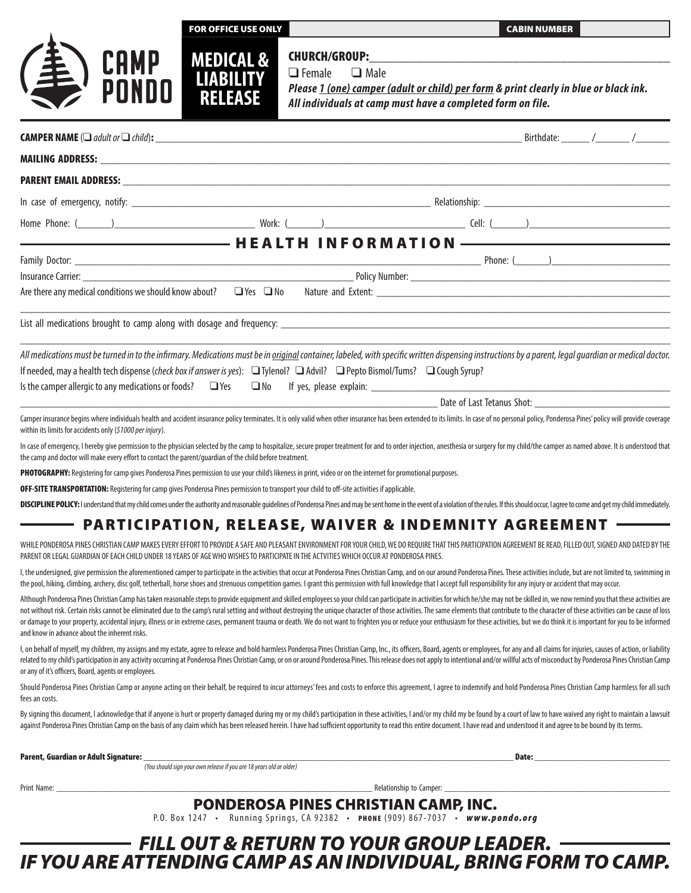| OR OFFICE USE ONLY |  |
|--------------------|--|
|                    |  |
|                    |  |

**CABIN NUMBER** 

# **CAMP<br>PONDO**



CHURCH/GROUP:  $\Box$  Female  $\Box$  Male

*Please 1 (one) camper (adult or child) per form & print clearly in blue or black ink. All individuals at camp must have a completed form on file.* 

| <b>CAMPER NAME</b> ( $\Box$ adult or $\Box$ child):                                                                                                                                                                                                                                                                                                                                                                                                                                                                                                                                                                                                                                                                                                |                                                                     |                                      |                            | Birthdate: _______ /________ /________ |  |
|----------------------------------------------------------------------------------------------------------------------------------------------------------------------------------------------------------------------------------------------------------------------------------------------------------------------------------------------------------------------------------------------------------------------------------------------------------------------------------------------------------------------------------------------------------------------------------------------------------------------------------------------------------------------------------------------------------------------------------------------------|---------------------------------------------------------------------|--------------------------------------|----------------------------|----------------------------------------|--|
|                                                                                                                                                                                                                                                                                                                                                                                                                                                                                                                                                                                                                                                                                                                                                    |                                                                     |                                      |                            |                                        |  |
|                                                                                                                                                                                                                                                                                                                                                                                                                                                                                                                                                                                                                                                                                                                                                    |                                                                     |                                      |                            |                                        |  |
|                                                                                                                                                                                                                                                                                                                                                                                                                                                                                                                                                                                                                                                                                                                                                    |                                                                     |                                      |                            |                                        |  |
|                                                                                                                                                                                                                                                                                                                                                                                                                                                                                                                                                                                                                                                                                                                                                    |                                                                     |                                      |                            |                                        |  |
|                                                                                                                                                                                                                                                                                                                                                                                                                                                                                                                                                                                                                                                                                                                                                    |                                                                     |                                      |                            |                                        |  |
|                                                                                                                                                                                                                                                                                                                                                                                                                                                                                                                                                                                                                                                                                                                                                    |                                                                     |                                      |                            |                                        |  |
|                                                                                                                                                                                                                                                                                                                                                                                                                                                                                                                                                                                                                                                                                                                                                    |                                                                     |                                      |                            |                                        |  |
| Are there any medical conditions we should know about? $\Box$ Yes $\Box$ No                                                                                                                                                                                                                                                                                                                                                                                                                                                                                                                                                                                                                                                                        |                                                                     |                                      |                            |                                        |  |
|                                                                                                                                                                                                                                                                                                                                                                                                                                                                                                                                                                                                                                                                                                                                                    |                                                                     |                                      |                            |                                        |  |
| All medications must be turned in to the infirmary. Medications must be in <i>griginal</i> container, labeled, with specific written dispensing instructions by a parent, legal guardian or medical doctor.<br>If needed, may a health tech dispense (check box if answer is yes): Tylenol? TAdvil? Pepto Bismol/Tums? Taugh Syrup?                                                                                                                                                                                                                                                                                                                                                                                                                |                                                                     |                                      |                            |                                        |  |
|                                                                                                                                                                                                                                                                                                                                                                                                                                                                                                                                                                                                                                                                                                                                                    |                                                                     |                                      | Date of Last Tetanus Shot: |                                        |  |
| Camper insurance begins where individuals health and accident insurance policy terminates. It is only valid when other insurance has been extended to its limits. In case of no personal policy, Ponderosa Pines' policy will<br>within its limits for accidents only (\$1000 per injury).                                                                                                                                                                                                                                                                                                                                                                                                                                                         |                                                                     |                                      |                            |                                        |  |
| In case of emergency, I hereby give permission to the physician selected by the camp to hospitalize, secure proper treatment for and to order injection, anesthesia or surgery for my child/the camper as named above. It is u<br>the camp and doctor will make every effort to contact the parent/guardian of the child before treatment.                                                                                                                                                                                                                                                                                                                                                                                                         |                                                                     |                                      |                            |                                        |  |
| PHOTOGRAPHY: Registering for camp gives Ponderosa Pines permission to use your child's likeness in print, video or on the internet for promotional purposes.                                                                                                                                                                                                                                                                                                                                                                                                                                                                                                                                                                                       |                                                                     |                                      |                            |                                        |  |
| OFF-SITE TRANSPORTATION: Registering for camp gives Ponderosa Pines permission to transport your child to off-site activities if applicable.                                                                                                                                                                                                                                                                                                                                                                                                                                                                                                                                                                                                       |                                                                     |                                      |                            |                                        |  |
| DISCIPLINE POLICY: I understand that my child comes under the authority and reasonable guidelines of Ponderosa Pines and may be sent home in the event of a violation of the rules. If this should occur, I agree to come and                                                                                                                                                                                                                                                                                                                                                                                                                                                                                                                      |                                                                     |                                      |                            |                                        |  |
| PARTICIPATION, RELEASE, WAIVER & INDEMNITY AGREEMENT -                                                                                                                                                                                                                                                                                                                                                                                                                                                                                                                                                                                                                                                                                             |                                                                     |                                      |                            |                                        |  |
| WHILE PONDEROSA PINES CHRISTIAN CAMP MAKES EVERY EFFORT TO PROVIDE A SAFE AND PLEASANT ENVIRONMENT FOR YOUR CHILD, WE DO REQUIRE THAT THIS PARTICIPATION AGREEMENT BE READ, FILLED OUT, SIGNED AND DATED BY THE<br>PARENT OR LEGAL GUARDIAN OF EACH CHILD UNDER 18 YEARS OF AGE WHO WISHES TO PARTICIPATE IN THE ACTVITIES WHICH OCCUR AT PONDEROSA PINES.                                                                                                                                                                                                                                                                                                                                                                                         |                                                                     |                                      |                            |                                        |  |
| I, the undersigned, give permission the aforementioned camper to participate in the activities that occur at Ponderosa Pines Christian Camp, and on our around Ponderosa Pines. These activities include, but are not limited<br>the pool, hiking, dimbing, archery, disc golf, tetherball, horse shoes and strenuous competition games. I grant this permission with full knowledge that I accept full responsibility for any injury or accident that may occu                                                                                                                                                                                                                                                                                    |                                                                     |                                      |                            |                                        |  |
| Although Ponderosa Pines Christian Camp has taken reasonable steps to provide equipment and skilled employees so your child can participate in activities for which he/she may not be skilled in, we now remind you that these<br>not without risk. Certain risks cannot be eliminated due to the camp's rural setting and without destroying the unique character of those activities. The same elements that contribute to the character of these activities c<br>or damage to your property, accidental injury, illness or in extreme cases, permanent trauma or death. We do not want to frighten you or reduce your enthusiasm for these activities, but we do think it is important for you<br>and know in advance about the inherent risks. |                                                                     |                                      |                            |                                        |  |
| l, on behalf of myself, my children, my assigns and my estate, agree to release and hold harmless Ponderosa Pines Christian Camp, Inc., its officers, Board, agents or employees, for any and all claims for injuries, causes<br>related to my child's participation in any activity occurring at Ponderosa Pines Christian Camp, or on or around Ponderosa Pines. This release does not apply to intentional and/or willful acts of misconduct by Ponderosa Pi<br>or any of it's officers, Board, agents or employees.                                                                                                                                                                                                                            |                                                                     |                                      |                            |                                        |  |
| Should Ponderosa Pines Christian Camp or anyone acting on their behalf, be required to incur attorneys' fees and costs to enforce this agreement, I agree to indemnify and hold Ponderosa Pines Christian Camp harmless for al<br>fees an costs.                                                                                                                                                                                                                                                                                                                                                                                                                                                                                                   |                                                                     |                                      |                            |                                        |  |
| By signing this document, I acknowledge that if anyone is hurt or property damaged during my or my child's participation in these activities, I and/or my child my be found by a court of law to have waived any right to main<br>against Ponderosa Pines Christian Camp on the basis of any claim which has been released herein. I have had sufficient opportunity to read this entire document. I have read and understood it and agree to be bound by its te                                                                                                                                                                                                                                                                                   |                                                                     |                                      |                            |                                        |  |
| Parent, Guardian or Adult Signature:                                                                                                                                                                                                                                                                                                                                                                                                                                                                                                                                                                                                                                                                                                               |                                                                     |                                      |                            | Date:                                  |  |
|                                                                                                                                                                                                                                                                                                                                                                                                                                                                                                                                                                                                                                                                                                                                                    | (You should sign your own release if you are 18 years old or older) |                                      |                            |                                        |  |
| Print Name: _                                                                                                                                                                                                                                                                                                                                                                                                                                                                                                                                                                                                                                                                                                                                      |                                                                     |                                      |                            |                                        |  |
|                                                                                                                                                                                                                                                                                                                                                                                                                                                                                                                                                                                                                                                                                                                                                    |                                                                     | PONDEROSA PINES CHRISTIAN CAMP, INC. |                            |                                        |  |

P.O. Box 1247 • Running Springs, CA 92382 • PHONE (909) 867-7037 • *www.pondo.org* 

### *FILL OUT & RETURN TO YOUR GROUP LEADER. IF YOU ARE ATTENDING CAMP AS AN INDIVIDUAL, BRING FORM TO CAMP.*